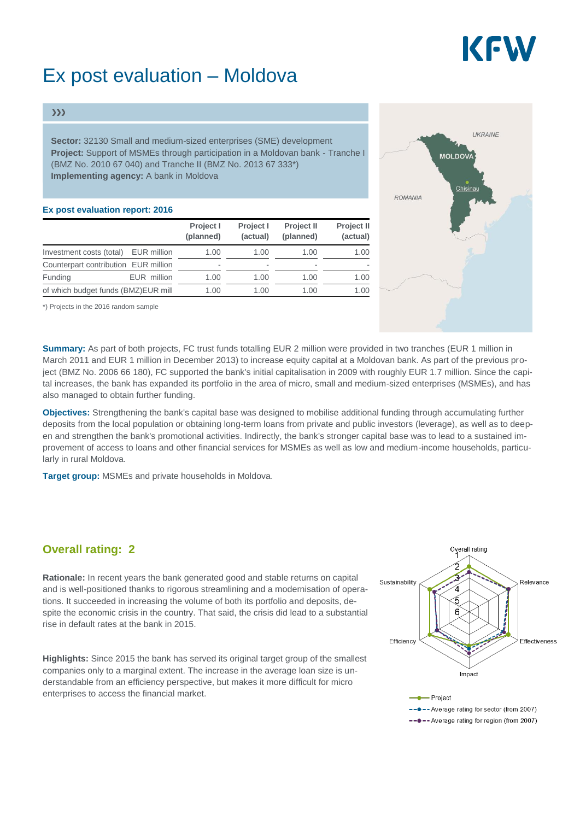# KEW

## Ex post evaluation – Moldova

#### $\gg$

**Sector:** 32130 Small and medium-sized enterprises (SME) development **Project:** Support of MSMEs through participation in a Moldovan bank - Tranche I (BMZ No. 2010 67 040) and Tranche II (BMZ No. 2013 67 333\*) **Implementing agency:** A bank in Moldova

#### **Ex post evaluation report: 2016**

|                                      |             | Project I<br>(planned) | Project I<br>(actual) | Project II<br>(planned) | <b>Project II</b><br>(actual) |
|--------------------------------------|-------------|------------------------|-----------------------|-------------------------|-------------------------------|
| Investment costs (total)             | EUR million | 1.00                   | 1.00                  | 1.00                    | 1.00                          |
| Counterpart contribution EUR million |             | ۰                      |                       | ۰                       |                               |
| Funding                              | EUR million | 1.00                   | 1.00                  | 1.00                    | 1.00                          |
| of which budget funds (BMZ)EUR mill  |             | 1.00                   | 1.00                  | 1.00                    | 1.00                          |

\*) Projects in the 2016 random sample

**Summary:** As part of both projects, FC trust funds totalling EUR 2 million were provided in two tranches (EUR 1 million in March 2011 and EUR 1 million in December 2013) to increase equity capital at a Moldovan bank. As part of the previous project (BMZ No. 2006 66 180), FC supported the bank's initial capitalisation in 2009 with roughly EUR 1.7 million. Since the capital increases, the bank has expanded its portfolio in the area of micro, small and medium-sized enterprises (MSMEs), and has also managed to obtain further funding.

**Objectives:** Strengthening the bank's capital base was designed to mobilise additional funding through accumulating further deposits from the local population or obtaining long-term loans from private and public investors (leverage), as well as to deepen and strengthen the bank's promotional activities. Indirectly, the bank's stronger capital base was to lead to a sustained improvement of access to loans and other financial services for MSMEs as well as low and medium-income households, particularly in rural Moldova.

**Target group:** MSMEs and private households in Moldova.

### **Overall rating: 2**

**Rationale:** In recent years the bank generated good and stable returns on capital and is well-positioned thanks to rigorous streamlining and a modernisation of operations. It succeeded in increasing the volume of both its portfolio and deposits, despite the economic crisis in the country. That said, the crisis did lead to a substantial rise in default rates at the bank in 2015.

**Highlights:** Since 2015 the bank has served its original target group of the smallest companies only to a marginal extent. The increase in the average loan size is understandable from an efficiency perspective, but makes it more difficult for micro enterprises to access the financial market.



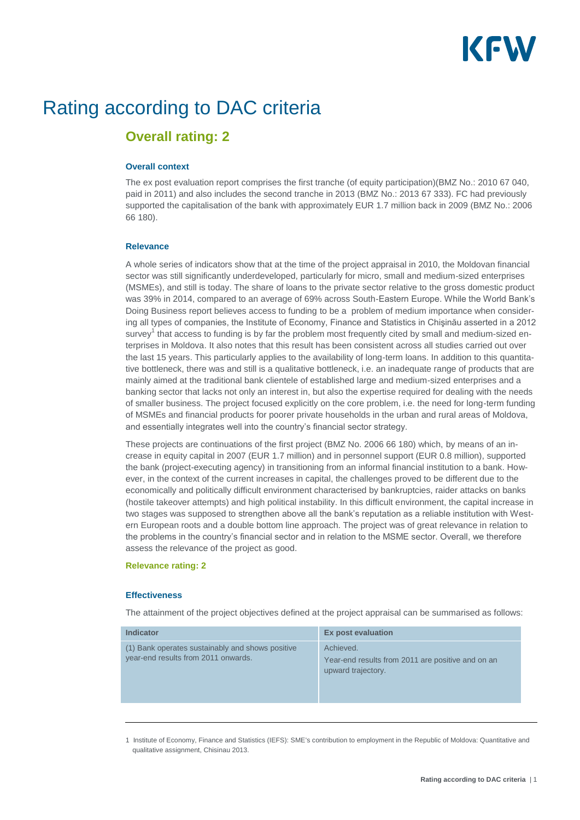# KEW

## Rating according to DAC criteria

### **Overall rating: 2**

#### **Overall context**

The ex post evaluation report comprises the first tranche (of equity participation)(BMZ No.: 2010 67 040, paid in 2011) and also includes the second tranche in 2013 (BMZ No.: 2013 67 333). FC had previously supported the capitalisation of the bank with approximately EUR 1.7 million back in 2009 (BMZ No.: 2006 66 180).

#### **Relevance**

A whole series of indicators show that at the time of the project appraisal in 2010, the Moldovan financial sector was still significantly underdeveloped, particularly for micro, small and medium-sized enterprises (MSMEs), and still is today. The share of loans to the private sector relative to the gross domestic product was 39% in 2014, compared to an average of 69% across South-Eastern Europe. While the World Bank's Doing Business report believes access to funding to be a problem of medium importance when considering all types of companies, the Institute of Economy, Finance and Statistics in Chişinău asserted in a 2012 survey<sup>1</sup> that access to funding is by far the problem most frequently cited by small and medium-sized enterprises in Moldova. It also notes that this result has been consistent across all studies carried out over the last 15 years. This particularly applies to the availability of long-term loans. In addition to this quantitative bottleneck, there was and still is a qualitative bottleneck, i.e. an inadequate range of products that are mainly aimed at the traditional bank clientele of established large and medium-sized enterprises and a banking sector that lacks not only an interest in, but also the expertise required for dealing with the needs of smaller business. The project focused explicitly on the core problem, i.e. the need for long-term funding of MSMEs and financial products for poorer private households in the urban and rural areas of Moldova, and essentially integrates well into the country's financial sector strategy.

These projects are continuations of the first project (BMZ No. 2006 66 180) which, by means of an increase in equity capital in 2007 (EUR 1.7 million) and in personnel support (EUR 0.8 million), supported the bank (project-executing agency) in transitioning from an informal financial institution to a bank. However, in the context of the current increases in capital, the challenges proved to be different due to the economically and politically difficult environment characterised by bankruptcies, raider attacks on banks (hostile takeover attempts) and high political instability. In this difficult environment, the capital increase in two stages was supposed to strengthen above all the bank's reputation as a reliable institution with Western European roots and a double bottom line approach. The project was of great relevance in relation to the problems in the country's financial sector and in relation to the MSME sector. Overall, we therefore assess the relevance of the project as good.

#### **Relevance rating: 2**

#### **Effectiveness**

The attainment of the project objectives defined at the project appraisal can be summarised as follows:

| <b>Indicator</b>                                                                        | <b>Ex post evaluation</b>                                                            |
|-----------------------------------------------------------------------------------------|--------------------------------------------------------------------------------------|
| (1) Bank operates sustainably and shows positive<br>year-end results from 2011 onwards. | Achieved.<br>Year-end results from 2011 are positive and on an<br>upward trajectory. |
|                                                                                         |                                                                                      |

1 Institute of Economy, Finance and Statistics (IEFS): SME's contribution to employment in the Republic of Moldova: Quantitative and qualitative assignment, Chisinau 2013.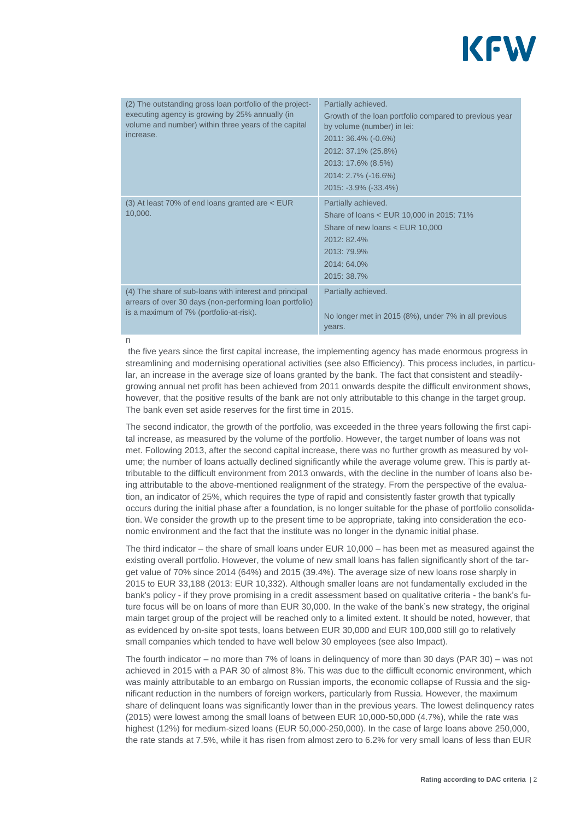

| (2) The outstanding gross loan portfolio of the project-<br>executing agency is growing by 25% annually (in<br>volume and number) within three years of the capital<br>increase. | Partially achieved.<br>Growth of the loan portfolio compared to previous year<br>by volume (number) in lei:<br>2011: 36.4% (-0.6%)<br>2012: 37.1% (25.8%)<br>2013: 17.6% (8.5%)<br>2014: 2.7% (-16.6%)<br>2015: -3.9% (-33.4%) |
|----------------------------------------------------------------------------------------------------------------------------------------------------------------------------------|--------------------------------------------------------------------------------------------------------------------------------------------------------------------------------------------------------------------------------|
| (3) At least 70% of end loans granted are $<$ EUR<br>10,000.                                                                                                                     | Partially achieved.<br>Share of loans < EUR 10,000 in 2015: 71%<br>Share of new loans < EUR 10,000<br>2012: 82.4%<br>2013: 79.9%<br>2014: 64.0%<br>2015: 38.7%                                                                 |
| (4) The share of sub-loans with interest and principal<br>arrears of over 30 days (non-performing loan portfolio)<br>is a maximum of 7% (portfolio-at-risk).                     | Partially achieved.<br>No longer met in 2015 (8%), under 7% in all previous<br>years.                                                                                                                                          |

n

the five years since the first capital increase, the implementing agency has made enormous progress in streamlining and modernising operational activities (see also Efficiency). This process includes, in particular, an increase in the average size of loans granted by the bank. The fact that consistent and steadilygrowing annual net profit has been achieved from 2011 onwards despite the difficult environment shows, however, that the positive results of the bank are not only attributable to this change in the target group. The bank even set aside reserves for the first time in 2015.

The second indicator, the growth of the portfolio, was exceeded in the three years following the first capital increase, as measured by the volume of the portfolio. However, the target number of loans was not met. Following 2013, after the second capital increase, there was no further growth as measured by volume; the number of loans actually declined significantly while the average volume grew. This is partly attributable to the difficult environment from 2013 onwards, with the decline in the number of loans also being attributable to the above-mentioned realignment of the strategy. From the perspective of the evaluation, an indicator of 25%, which requires the type of rapid and consistently faster growth that typically occurs during the initial phase after a foundation, is no longer suitable for the phase of portfolio consolidation. We consider the growth up to the present time to be appropriate, taking into consideration the economic environment and the fact that the institute was no longer in the dynamic initial phase.

The third indicator – the share of small loans under EUR 10,000 – has been met as measured against the existing overall portfolio. However, the volume of new small loans has fallen significantly short of the target value of 70% since 2014 (64%) and 2015 (39.4%). The average size of new loans rose sharply in 2015 to EUR 33,188 (2013: EUR 10,332). Although smaller loans are not fundamentally excluded in the bank's policy - if they prove promising in a credit assessment based on qualitative criteria - the bank's future focus will be on loans of more than EUR 30,000. In the wake of the bank's new strategy, the original main target group of the project will be reached only to a limited extent. It should be noted, however, that as evidenced by on-site spot tests, loans between EUR 30,000 and EUR 100,000 still go to relatively small companies which tended to have well below 30 employees (see also Impact).

The fourth indicator – no more than 7% of loans in delinquency of more than 30 days (PAR 30) – was not achieved in 2015 with a PAR 30 of almost 8%. This was due to the difficult economic environment, which was mainly attributable to an embargo on Russian imports, the economic collapse of Russia and the significant reduction in the numbers of foreign workers, particularly from Russia. However, the maximum share of delinquent loans was significantly lower than in the previous years. The lowest delinquency rates (2015) were lowest among the small loans of between EUR 10,000-50,000 (4.7%), while the rate was highest (12%) for medium-sized loans (EUR 50,000-250,000). In the case of large loans above 250,000, the rate stands at 7.5%, while it has risen from almost zero to 6.2% for very small loans of less than EUR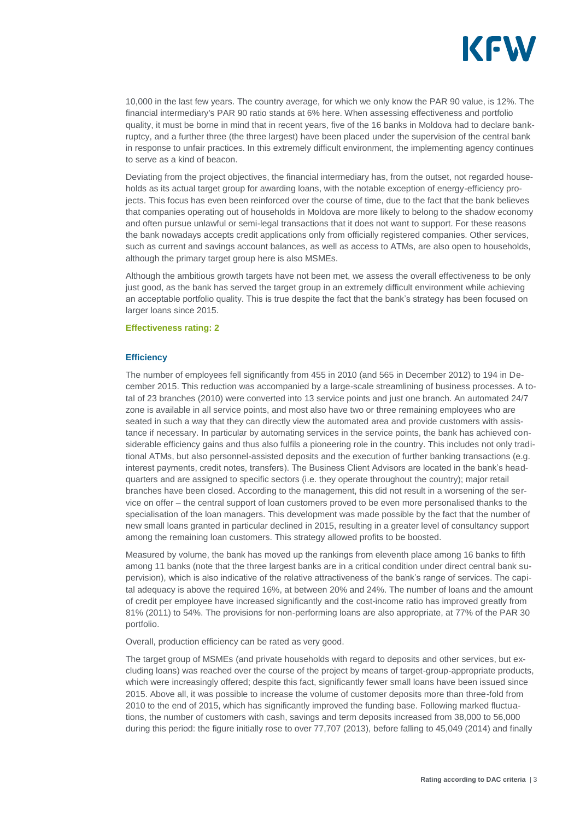![](_page_3_Picture_0.jpeg)

10,000 in the last few years. The country average, for which we only know the PAR 90 value, is 12%. The financial intermediary's PAR 90 ratio stands at 6% here. When assessing effectiveness and portfolio quality, it must be borne in mind that in recent years, five of the 16 banks in Moldova had to declare bankruptcy, and a further three (the three largest) have been placed under the supervision of the central bank in response to unfair practices. In this extremely difficult environment, the implementing agency continues to serve as a kind of beacon.

Deviating from the project objectives, the financial intermediary has, from the outset, not regarded households as its actual target group for awarding loans, with the notable exception of energy-efficiency projects. This focus has even been reinforced over the course of time, due to the fact that the bank believes that companies operating out of households in Moldova are more likely to belong to the shadow economy and often pursue unlawful or semi-legal transactions that it does not want to support. For these reasons the bank nowadays accepts credit applications only from officially registered companies. Other services, such as current and savings account balances, as well as access to ATMs, are also open to households, although the primary target group here is also MSMEs.

Although the ambitious growth targets have not been met, we assess the overall effectiveness to be only just good, as the bank has served the target group in an extremely difficult environment while achieving an acceptable portfolio quality. This is true despite the fact that the bank's strategy has been focused on larger loans since 2015.

#### **Effectiveness rating: 2**

#### **Efficiency**

The number of employees fell significantly from 455 in 2010 (and 565 in December 2012) to 194 in December 2015. This reduction was accompanied by a large-scale streamlining of business processes. A total of 23 branches (2010) were converted into 13 service points and just one branch. An automated 24/7 zone is available in all service points, and most also have two or three remaining employees who are seated in such a way that they can directly view the automated area and provide customers with assistance if necessary. In particular by automating services in the service points, the bank has achieved considerable efficiency gains and thus also fulfils a pioneering role in the country. This includes not only traditional ATMs, but also personnel-assisted deposits and the execution of further banking transactions (e.g. interest payments, credit notes, transfers). The Business Client Advisors are located in the bank's headquarters and are assigned to specific sectors (i.e. they operate throughout the country); major retail branches have been closed. According to the management, this did not result in a worsening of the service on offer – the central support of loan customers proved to be even more personalised thanks to the specialisation of the loan managers. This development was made possible by the fact that the number of new small loans granted in particular declined in 2015, resulting in a greater level of consultancy support among the remaining loan customers. This strategy allowed profits to be boosted.

Measured by volume, the bank has moved up the rankings from eleventh place among 16 banks to fifth among 11 banks (note that the three largest banks are in a critical condition under direct central bank supervision), which is also indicative of the relative attractiveness of the bank's range of services. The capital adequacy is above the required 16%, at between 20% and 24%. The number of loans and the amount of credit per employee have increased significantly and the cost-income ratio has improved greatly from 81% (2011) to 54%. The provisions for non-performing loans are also appropriate, at 77% of the PAR 30 portfolio.

Overall, production efficiency can be rated as very good.

The target group of MSMEs (and private households with regard to deposits and other services, but excluding loans) was reached over the course of the project by means of target-group-appropriate products, which were increasingly offered; despite this fact, significantly fewer small loans have been issued since 2015. Above all, it was possible to increase the volume of customer deposits more than three-fold from 2010 to the end of 2015, which has significantly improved the funding base. Following marked fluctuations, the number of customers with cash, savings and term deposits increased from 38,000 to 56,000 during this period: the figure initially rose to over 77,707 (2013), before falling to 45,049 (2014) and finally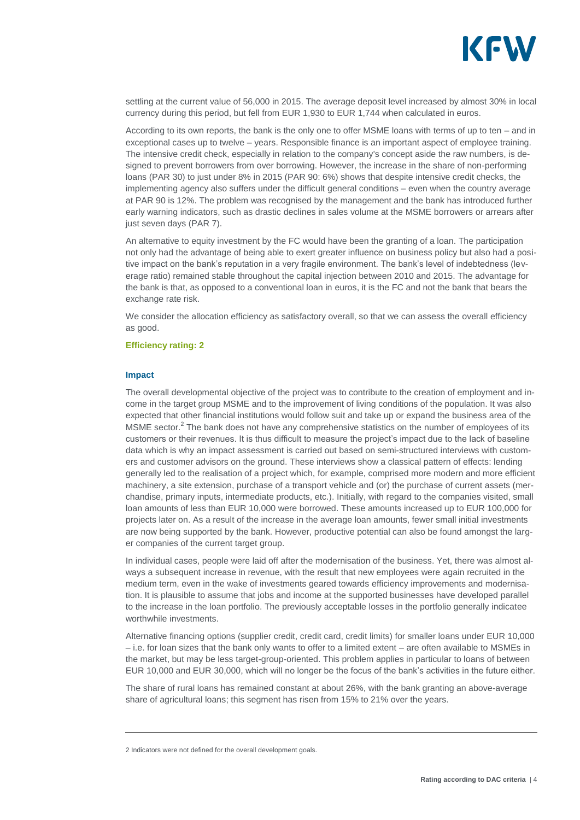![](_page_4_Picture_0.jpeg)

settling at the current value of 56,000 in 2015. The average deposit level increased by almost 30% in local currency during this period, but fell from EUR 1,930 to EUR 1,744 when calculated in euros.

According to its own reports, the bank is the only one to offer MSME loans with terms of up to ten – and in exceptional cases up to twelve – years. Responsible finance is an important aspect of employee training. The intensive credit check, especially in relation to the company's concept aside the raw numbers, is designed to prevent borrowers from over borrowing. However, the increase in the share of non-performing loans (PAR 30) to just under 8% in 2015 (PAR 90: 6%) shows that despite intensive credit checks, the implementing agency also suffers under the difficult general conditions – even when the country average at PAR 90 is 12%. The problem was recognised by the management and the bank has introduced further early warning indicators, such as drastic declines in sales volume at the MSME borrowers or arrears after just seven days (PAR 7).

An alternative to equity investment by the FC would have been the granting of a loan. The participation not only had the advantage of being able to exert greater influence on business policy but also had a positive impact on the bank's reputation in a very fragile environment. The bank's level of indebtedness (leverage ratio) remained stable throughout the capital injection between 2010 and 2015. The advantage for the bank is that, as opposed to a conventional loan in euros, it is the FC and not the bank that bears the exchange rate risk.

We consider the allocation efficiency as satisfactory overall, so that we can assess the overall efficiency as good.

#### **Efficiency rating: 2**

#### **Impact**

The overall developmental objective of the project was to contribute to the creation of employment and income in the target group MSME and to the improvement of living conditions of the population. It was also expected that other financial institutions would follow suit and take up or expand the business area of the MSME sector.<sup>2</sup> The bank does not have any comprehensive statistics on the number of employees of its customers or their revenues. It is thus difficult to measure the project's impact due to the lack of baseline data which is why an impact assessment is carried out based on semi-structured interviews with customers and customer advisors on the ground. These interviews show a classical pattern of effects: lending generally led to the realisation of a project which, for example, comprised more modern and more efficient machinery, a site extension, purchase of a transport vehicle and (or) the purchase of current assets (merchandise, primary inputs, intermediate products, etc.). Initially, with regard to the companies visited, small loan amounts of less than EUR 10,000 were borrowed. These amounts increased up to EUR 100,000 for projects later on. As a result of the increase in the average loan amounts, fewer small initial investments are now being supported by the bank. However, productive potential can also be found amongst the larger companies of the current target group.

In individual cases, people were laid off after the modernisation of the business. Yet, there was almost always a subsequent increase in revenue, with the result that new employees were again recruited in the medium term, even in the wake of investments geared towards efficiency improvements and modernisation. It is plausible to assume that jobs and income at the supported businesses have developed parallel to the increase in the loan portfolio. The previously acceptable losses in the portfolio generally indicatee worthwhile investments.

Alternative financing options (supplier credit, credit card, credit limits) for smaller loans under EUR 10,000 – i.e. for loan sizes that the bank only wants to offer to a limited extent – are often available to MSMEs in the market, but may be less target-group-oriented. This problem applies in particular to loans of between EUR 10,000 and EUR 30,000, which will no longer be the focus of the bank's activities in the future either.

The share of rural loans has remained constant at about 26%, with the bank granting an above-average share of agricultural loans; this segment has risen from 15% to 21% over the years.

<sup>2</sup> Indicators were not defined for the overall development goals.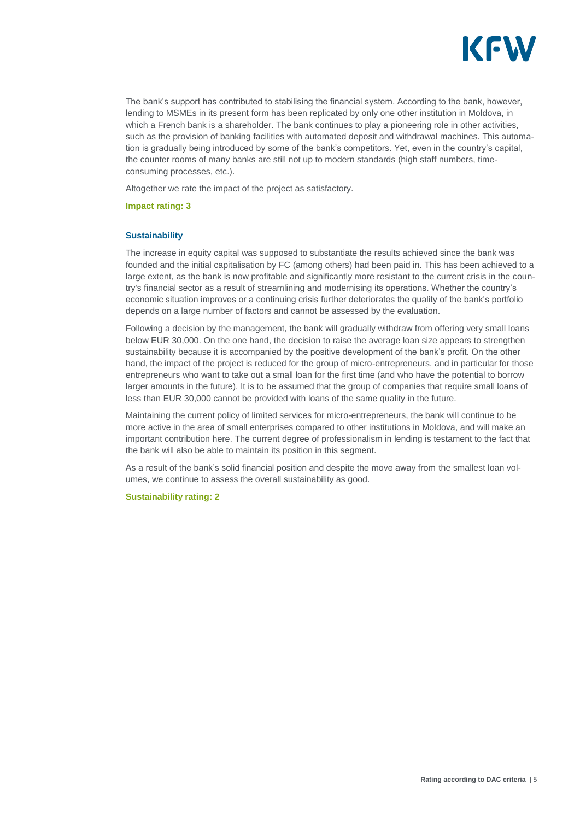![](_page_5_Picture_0.jpeg)

The bank's support has contributed to stabilising the financial system. According to the bank, however, lending to MSMEs in its present form has been replicated by only one other institution in Moldova, in which a French bank is a shareholder. The bank continues to play a pioneering role in other activities, such as the provision of banking facilities with automated deposit and withdrawal machines. This automation is gradually being introduced by some of the bank's competitors. Yet, even in the country's capital, the counter rooms of many banks are still not up to modern standards (high staff numbers, timeconsuming processes, etc.).

Altogether we rate the impact of the project as satisfactory.

**Impact rating: 3**

#### **Sustainability**

The increase in equity capital was supposed to substantiate the results achieved since the bank was founded and the initial capitalisation by FC (among others) had been paid in. This has been achieved to a large extent, as the bank is now profitable and significantly more resistant to the current crisis in the country's financial sector as a result of streamlining and modernising its operations. Whether the country's economic situation improves or a continuing crisis further deteriorates the quality of the bank's portfolio depends on a large number of factors and cannot be assessed by the evaluation.

Following a decision by the management, the bank will gradually withdraw from offering very small loans below EUR 30,000. On the one hand, the decision to raise the average loan size appears to strengthen sustainability because it is accompanied by the positive development of the bank's profit. On the other hand, the impact of the project is reduced for the group of micro-entrepreneurs, and in particular for those entrepreneurs who want to take out a small loan for the first time (and who have the potential to borrow larger amounts in the future). It is to be assumed that the group of companies that require small loans of less than EUR 30,000 cannot be provided with loans of the same quality in the future.

Maintaining the current policy of limited services for micro-entrepreneurs, the bank will continue to be more active in the area of small enterprises compared to other institutions in Moldova, and will make an important contribution here. The current degree of professionalism in lending is testament to the fact that the bank will also be able to maintain its position in this segment.

As a result of the bank's solid financial position and despite the move away from the smallest loan volumes, we continue to assess the overall sustainability as good.

#### **Sustainability rating: 2**